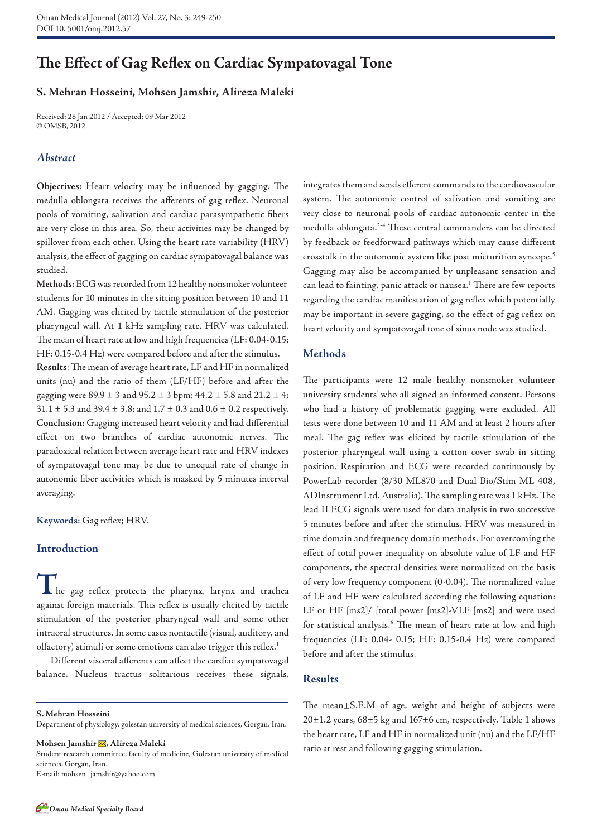# **The Effect of Gag Reflex on Cardiac Sympatovagal Tone**

# **S. Mehran Hosseini, Mohsen Jamshir, Alireza Maleki**

Received: 28 Jan 2012 / Accepted: 09 Mar 2012 © OMSB, 2012

#### *Abstract*

**Objectives**: Heart velocity may be influenced by gagging. The medulla oblongata receives the afferents of gag reflex. Neuronal pools of vomiting, salivation and cardiac parasympathetic fibers are very close in this area. So, their activities may be changed by spillover from each other. Using the heart rate variability (HRV) analysis, the effect of gagging on cardiac sympatovagal balance was studied.

students for 10 minutes in the sitting position between 10 and 11 AM. Gagging was elicited by tactile stimulation of the posterior pharyngeal wall. At 1 kHz sampling rate, HRV was calculated. The mean of heart rate at low and high frequencies (LF: 0.04-0.15; HF: 0.15-0.4 Hz) were compared before and after the stimulus. **Methods**: ECG was recorded from 12 healthy nonsmoker volunteer

**Results**: The mean of average heart rate, LF and HF in normalized units (nu) and the ratio of them (LF/HF) before and after the gagging were  $89.9 \pm 3$  and  $95.2 \pm 3$  bpm;  $44.2 \pm 5.8$  and  $21.2 \pm 4$ ; 31.1  $\pm$  5.3 and 39.4  $\pm$  3.8; and 1.7  $\pm$  0.3 and 0.6  $\pm$  0.2 respectively. **Conclusion**: Gagging increased heart velocity and had differential effect on two branches of cardiac autonomic nerves. The paradoxical relation between average heart rate and HRV indexes of sympatovagal tone may be due to unequal rate of change in autonomic fiber activities which is masked by 5 minutes interval averaging.

**Keywords**: Gag reflex; HRV.

## **Introduction**

**T**he gag reflex protects the pharynx, larynx and trachea against foreign materials. This reflex is usually elicited by tactile stimulation of the posterior pharyngeal wall and some other intraoral structures. In some cases nontactile (visual, auditory, and olfactory) stimuli or some emotions can also trigger this reflex. 1

Different visceral afferents can affect the cardiac sympatovagal balance. Nucleus tractus solitarious receives these signals,

**S. Mehran Hosseini** 

Department of physiology, golestan university of medical sciences, Gorgan, Iran.

**Mohsen Jamshir , Alireza Maleki**

Student research committee, faculty of medicine, Golestan university of medical sciences, Gorgan, Iran.

E-mail: mohsen\_jamshir@yahoo.com

integrates them and sends efferent commands to the cardiovascular system. The autonomic control of salivation and vomiting are very close to neuronal pools of cardiac autonomic center in the medulla oblongata. 2-4 These central commanders can be directed by feedback or feedforward pathways which may cause different crosstalk in the autonomic system like post micturition syncope. 5 Gagging may also be accompanied by unpleasant sensation and can lead to fainting, panic attack or nausea. 1 There are few reports regarding the cardiac manifestation of gag reflex which potentially may be important in severe gagging, so the effect of gag reflex on heart velocity and sympatovagal tone of sinus node was studied.

#### **Methods**

The participants were 12 male healthy nonsmoker volunteer university students' who all signed an informed consent. Persons who had a history of problematic gagging were excluded. All tests were done between 10 and 11 AM and at least 2 hours after meal. The gag reflex was elicited by tactile stimulation of the posterior pharyngeal wall using a cotton cover swab in sitting position. Respiration and ECG were recorded continuously by PowerLab recorder (8/30 ML870 and Dual Bio/Stim ML 408, ADInstrument Ltd. Australia). The sampling rate was 1 kHz. The lead II ECG signals were used for data analysis in two successive 5 minutes before and after the stimulus. HRV was measured in time domain and frequency domain methods. For overcoming the effect of total power inequality on absolute value of LF and HF components, the spectral densities were normalized on the basis of very low frequency component (0-0.04). The normalized value of LF and HF were calculated according the following equation: LF or HF [ms2]/ [total power [ms2]-VLF [ms2] and were used for statistical analysis.<sup>6</sup> The mean of heart rate at low and high frequencies (LF: 0.04- 0.15; HF: 0.15-0.4 Hz) were compared before and after the stimulus.

### **Results**

The mean±S.E.M of age, weight and height of subjects were 20±1.2 years, 68±5 kg and 167±6 cm, respectively. Table 1 shows the heart rate, LF and HF in normalized unit (nu) and the LF/HF ratio at rest and following gagging stimulation.